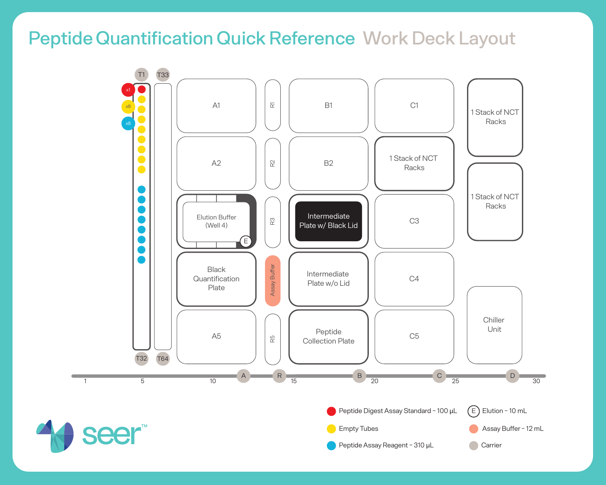## Peptide Quantification Quick Reference Work Deck Layout